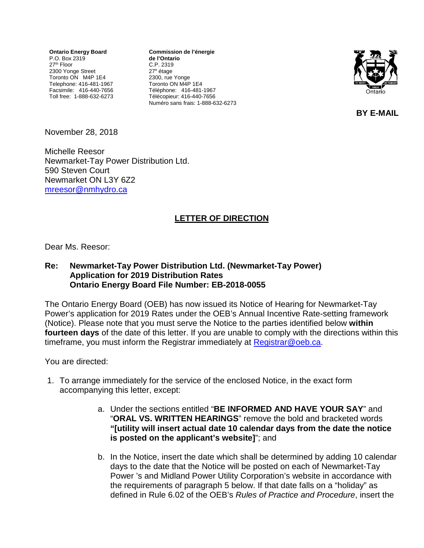**Ontario Energy Board** P.O. Box 2319 27th Floor 2300 Yonge Street Toronto ON M4P 1E4 Telephone: 416-481-1967 Facsimile: 416-440-7656 Toll free: 1-888-632-6273

**Commission de l'énergie de l'Ontario** C.P. 2319 27e étage 2300, rue Yonge Toronto ON M4P 1E4 Téléphone: 416-481-1967 Télécopieur: 416-440-7656 Numéro sans frais: 1-888-632-6273



**BY E-MAIL**

November 28, 2018

Michelle Reesor Newmarket-Tay Power Distribution Ltd. 590 Steven Court Newmarket ON L3Y 6Z2 [mreesor@nmhydro.ca](mailto:mreesor@nmhydro.ca)

## **LETTER OF DIRECTION**

Dear Ms. Reesor:

## **Re: Newmarket-Tay Power Distribution Ltd. (Newmarket-Tay Power) Application for 2019 Distribution Rates Ontario Energy Board File Number: EB-2018-0055**

The Ontario Energy Board (OEB) has now issued its Notice of Hearing for Newmarket-Tay Power's application for 2019 Rates under the OEB's Annual Incentive Rate-setting framework (Notice). Please note that you must serve the Notice to the parties identified below **within fourteen days** of the date of this letter. If you are unable to comply with the directions within this timeframe, you must inform the Registrar immediately at [Registrar@oeb.ca.](mailto:Registrar@oeb.ca)

You are directed:

- 1. To arrange immediately for the service of the enclosed Notice, in the exact form accompanying this letter, except:
	- a. Under the sections entitled "**BE INFORMED AND HAVE YOUR SAY**" and "**ORAL VS. WRITTEN HEARINGS**" remove the bold and bracketed words **"[utility will insert actual date 10 calendar days from the date the notice is posted on the applicant's website]**"; and
	- b. In the Notice, insert the date which shall be determined by adding 10 calendar days to the date that the Notice will be posted on each of Newmarket-Tay Power 's and Midland Power Utility Corporation's website in accordance with the requirements of paragraph 5 below. If that date falls on a "holiday" as defined in Rule 6.02 of the OEB's *Rules of Practice and Procedure*, insert the